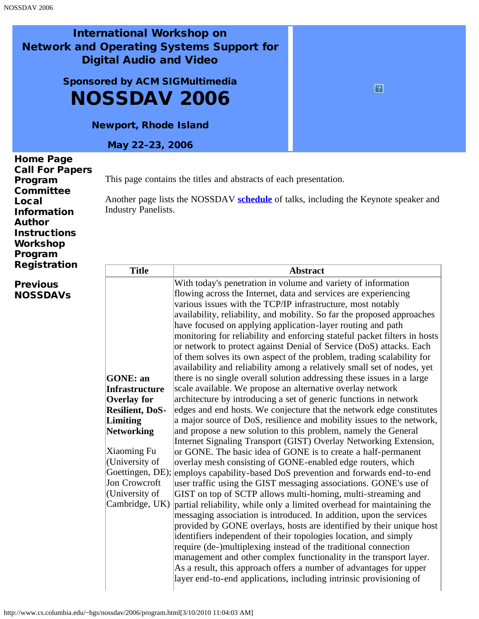## International Workshop on Network and Operating Systems Support for Digital Audio and Video

Sponsored by ACM SIGMultimedia NOSSDAV 2006

Newport, Rhode Island

May 22–23, 2006

| <b>Home Page</b><br><b>Call For Papers</b><br>Program<br>Committee<br>Local<br><b>Information</b><br><b>Author</b><br><b>Instructions</b><br>Workshop<br>Program | <b>Industry Panelists.</b> | This page contains the titles and abstracts of each presentation.<br>Another page lists the NOSSDAV schedule of talks, including the Keynote speaker and |
|------------------------------------------------------------------------------------------------------------------------------------------------------------------|----------------------------|----------------------------------------------------------------------------------------------------------------------------------------------------------|
| <b>Registration</b>                                                                                                                                              | <b>Title</b>               | <b>Abstract</b>                                                                                                                                          |
| $\qquad \qquad$                                                                                                                                                  |                            | With today's nonotration in volume and verioty of information                                                                                            |

**[Previous](http://www.nossdav.org/)** [NOSSDAVs](http://www.nossdav.org/)

| <b>Title</b>           | <b>Abstract</b>                                                           |
|------------------------|---------------------------------------------------------------------------|
|                        | With today's penetration in volume and variety of information             |
|                        | flowing across the Internet, data and services are experiencing           |
|                        | various issues with the TCP/IP infrastructure, most notably               |
|                        | availability, reliability, and mobility. So far the proposed approaches   |
|                        | have focused on applying application-layer routing and path               |
|                        | monitoring for reliability and enforcing stateful packet filters in hosts |
|                        | or network to protect against Denial of Service (DoS) attacks. Each       |
|                        | of them solves its own aspect of the problem, trading scalability for     |
|                        | availability and reliability among a relatively small set of nodes, yet   |
| <b>GONE</b> : an       | there is no single overall solution addressing these issues in a large    |
| <b>Infrastructure</b>  | scale available. We propose an alternative overlay network                |
| <b>Overlay for</b>     | architecture by introducing a set of generic functions in network         |
| <b>Resilient, DoS-</b> | edges and end hosts. We conjecture that the network edge constitutes      |
| Limiting               | a major source of DoS, resilience and mobility issues to the network,     |
| Networking             | and propose a new solution to this problem, namely the General            |
|                        | Internet Signaling Transport (GIST) Overlay Networking Extension,         |
| Xiaoming Fu            | or GONE. The basic idea of GONE is to create a half-permanent             |
| (University of         | overlay mesh consisting of GONE-enabled edge routers, which               |
| Goettingen, DE);       | employs capability-based DoS prevention and forwards end-to-end           |
| Jon Crowcroft          | user traffic using the GIST messaging associations. GONE's use of         |
| (University of         | GIST on top of SCTP allows multi-homing, multi-streaming and              |
| Cambridge, UK)         | partial reliability, while only a limited overhead for maintaining the    |
|                        | messaging association is introduced. In addition, upon the services       |
|                        | provided by GONE overlays, hosts are identified by their unique host      |
|                        | identifiers independent of their topologies location, and simply          |
|                        | require (de-)multiplexing instead of the traditional connection           |
|                        | management and other complex functionality in the transport layer.        |
|                        | As a result, this approach offers a number of advantages for upper        |
|                        | layer end-to-end applications, including intrinsic provisioning of        |
|                        |                                                                           |

 $\boxed{2}$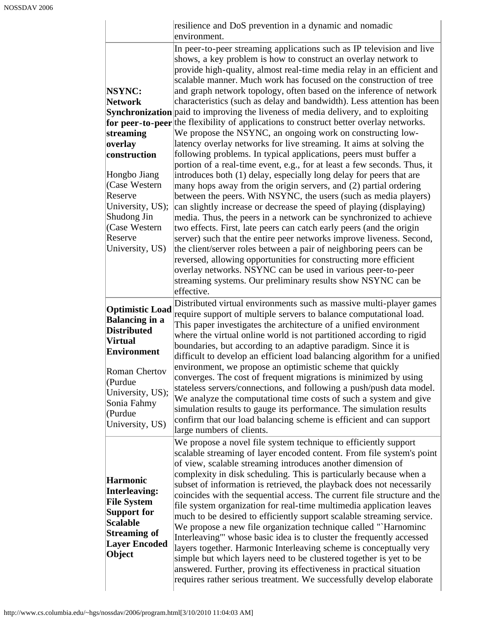|                                                                                                                                                                                                                   | resilience and DoS prevention in a dynamic and nomadic<br>environment.                                                                                                                                                                                                                                                                                                                                                                                                                                                                                                                                                                                                                                                                                                                                                                                                                                                                                                                                                                                                                                                                                                                                                                                                                                                                                                                                                                                                                                                                                                                                                                                                                              |
|-------------------------------------------------------------------------------------------------------------------------------------------------------------------------------------------------------------------|-----------------------------------------------------------------------------------------------------------------------------------------------------------------------------------------------------------------------------------------------------------------------------------------------------------------------------------------------------------------------------------------------------------------------------------------------------------------------------------------------------------------------------------------------------------------------------------------------------------------------------------------------------------------------------------------------------------------------------------------------------------------------------------------------------------------------------------------------------------------------------------------------------------------------------------------------------------------------------------------------------------------------------------------------------------------------------------------------------------------------------------------------------------------------------------------------------------------------------------------------------------------------------------------------------------------------------------------------------------------------------------------------------------------------------------------------------------------------------------------------------------------------------------------------------------------------------------------------------------------------------------------------------------------------------------------------------|
| <b>NSYNC:</b><br><b>Network</b><br>streaming<br>overlay<br>construction<br>Hongbo Jiang<br>(Case Western<br>Reserve<br>University, US);<br>Shudong Jin<br>(Case Western<br>Reserve<br>University, US)             | In peer-to-peer streaming applications such as IP television and live<br>shows, a key problem is how to construct an overlay network to<br>provide high-quality, almost real-time media relay in an efficient and<br>scalable manner. Much work has focused on the construction of tree<br>and graph network topology, often based on the inference of network<br>characteristics (such as delay and bandwidth). Less attention has been<br>Synchronization paid to improving the liveness of media delivery, and to exploiting<br>for peer-to-peer the flexibility of applications to construct better overlay networks.<br>We propose the NSYNC, an ongoing work on constructing low-<br>latency overlay networks for live streaming. It aims at solving the<br>following problems. In typical applications, peers must buffer a<br>portion of a real-time event, e.g., for at least a few seconds. Thus, it<br>introduces both (1) delay, especially long delay for peers that are<br>many hops away from the origin servers, and (2) partial ordering<br>between the peers. With NSYNC, the users (such as media players)<br>can slightly increase or decrease the speed of playing (displaying)<br>media. Thus, the peers in a network can be synchronized to achieve<br>two effects. First, late peers can catch early peers (and the origin<br>server) such that the entire peer networks improve liveness. Second,<br>the client/server roles between a pair of neighboring peers can be<br>reversed, allowing opportunities for constructing more efficient<br>overlay networks. NSYNC can be used in various peer-to-peer<br>streaming systems. Our preliminary results show NSYNC can be |
| <b>Optimistic Load</b><br><b>Balancing in a</b><br><b>Distributed</b><br><b>Virtual</b><br><b>Environment</b><br><b>Roman Chertov</b><br>(Purdue<br>University, US);<br>Sonia Fahmy<br>(Purdue<br>University, US) | effective.<br>Distributed virtual environments such as massive multi-player games<br>require support of multiple servers to balance computational load.<br>This paper investigates the architecture of a unified environment<br>where the virtual online world is not partitioned according to rigid<br>boundaries, but according to an adaptive paradigm. Since it is<br>difficult to develop an efficient load balancing algorithm for a unified<br>environment, we propose an optimistic scheme that quickly<br>converges. The cost of frequent migrations is minimized by using<br>stateless servers/connections, and following a push/push data model.<br>We analyze the computational time costs of such a system and give<br>simulation results to gauge its performance. The simulation results<br>confirm that our load balancing scheme is efficient and can support<br>large numbers of clients.                                                                                                                                                                                                                                                                                                                                                                                                                                                                                                                                                                                                                                                                                                                                                                                         |
| <b>Harmonic</b><br><b>Interleaving:</b><br><b>File System</b><br><b>Support for</b><br><b>Scalable</b><br><b>Streaming of</b><br><b>Layer Encoded</b><br>Object                                                   | We propose a novel file system technique to efficiently support<br>scalable streaming of layer encoded content. From file system's point<br>of view, scalable streaming introduces another dimension of<br>complexity in disk scheduling. This is particularly because when a<br>subset of information is retrieved, the playback does not necessarily<br>coincides with the sequential access. The current file structure and the<br>file system organization for real-time multimedia application leaves<br>much to be desired to efficiently support scalable streaming service.<br>We propose a new file organization technique called "`Harnominc<br>Interleaving" whose basic idea is to cluster the frequently accessed<br>layers together. Harmonic Interleaving scheme is conceptually very<br>simple but which layers need to be clustered together is yet to be<br>answered. Further, proving its effectiveness in practical situation<br>requires rather serious treatment. We successfully develop elaborate                                                                                                                                                                                                                                                                                                                                                                                                                                                                                                                                                                                                                                                                           |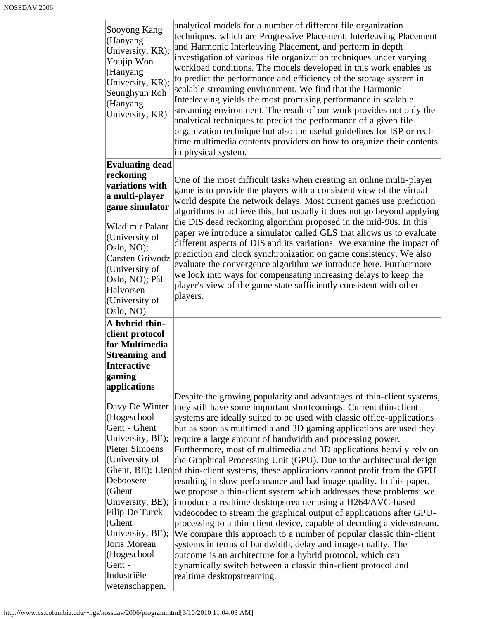| Sooyong Kang<br>(Hanyang<br>University, KR);<br>Youjip Won<br>(Hanyang<br>University, KR);<br>Seunghyun Roh<br>(Hanyang<br>University, KR)                                                                                                                                         | analytical models for a number of different file organization<br>techniques, which are Progressive Placement, Interleaving Placement<br>and Harmonic Interleaving Placement, and perform in depth<br>investigation of various file organization techniques under varying<br>workload conditions. The models developed in this work enables us<br>to predict the performance and efficiency of the storage system in<br>scalable streaming environment. We find that the Harmonic<br>Interleaving yields the most promising performance in scalable<br>streaming environment. The result of our work provides not only the<br>analytical techniques to predict the performance of a given file<br>organization technique but also the useful guidelines for ISP or real-<br>time multimedia contents providers on how to organize their contents<br>in physical system.                                                                                                                                                                                                                                                                                                                                                                                            |
|------------------------------------------------------------------------------------------------------------------------------------------------------------------------------------------------------------------------------------------------------------------------------------|-------------------------------------------------------------------------------------------------------------------------------------------------------------------------------------------------------------------------------------------------------------------------------------------------------------------------------------------------------------------------------------------------------------------------------------------------------------------------------------------------------------------------------------------------------------------------------------------------------------------------------------------------------------------------------------------------------------------------------------------------------------------------------------------------------------------------------------------------------------------------------------------------------------------------------------------------------------------------------------------------------------------------------------------------------------------------------------------------------------------------------------------------------------------------------------------------------------------------------------------------------------------|
| <b>Evaluating dead</b>                                                                                                                                                                                                                                                             |                                                                                                                                                                                                                                                                                                                                                                                                                                                                                                                                                                                                                                                                                                                                                                                                                                                                                                                                                                                                                                                                                                                                                                                                                                                                   |
| reckoning<br>variations with<br>a multi-player<br>game simulator<br>Wladimir Palant<br>(University of<br>Oslo, NO);<br>Carsten Griwodz<br>(University of<br>Oslo, NO); Pål<br>Halvorsen<br>(University of<br>Oslo, NO)                                                             | One of the most difficult tasks when creating an online multi-player<br>game is to provide the players with a consistent view of the virtual<br>world despite the network delays. Most current games use prediction<br>algorithms to achieve this, but usually it does not go beyond applying<br>the DIS dead reckoning algorithm proposed in the mid-90s. In this<br>paper we introduce a simulator called GLS that allows us to evaluate<br>different aspects of DIS and its variations. We examine the impact of<br>prediction and clock synchronization on game consistency. We also<br>evaluate the convergence algorithm we introduce here. Furthermore<br>we look into ways for compensating increasing delays to keep the<br>player's view of the game state sufficiently consistent with other<br>players.                                                                                                                                                                                                                                                                                                                                                                                                                                               |
| A hybrid thin-<br>client protocol<br>for Multimedia<br><b>Streaming and</b><br>Interactive<br>gaming<br>applications                                                                                                                                                               |                                                                                                                                                                                                                                                                                                                                                                                                                                                                                                                                                                                                                                                                                                                                                                                                                                                                                                                                                                                                                                                                                                                                                                                                                                                                   |
| Davy De Winter<br>(Hogeschool<br>Gent - Ghent<br>University, BE);<br>Pieter Simoens<br>(University of<br>Deboosere<br>$ $ (Ghent<br>University, BE);<br>Filip De Turck<br>$ $ (Ghent<br>University, BE);<br>Joris Moreau<br>(Hogeschool<br>Gent -<br>Industriële<br>wetenschappen, | Despite the growing popularity and advantages of thin-client systems,<br>they still have some important shortcomings. Current thin-client<br>systems are ideally suited to be used with classic office-applications<br>but as soon as multimedia and 3D gaming applications are used they<br>require a large amount of bandwidth and processing power.<br>Furthermore, most of multimedia and 3D applications heavily rely on<br>the Graphical Processing Unit (GPU). Due to the architectural design<br>Ghent, BE); Lien of thin-client systems, these applications cannot profit from the GPU<br>resulting in slow performance and bad image quality. In this paper,<br>we propose a thin-client system which addresses these problems: we<br>introduce a realtime desktopstreamer using a H264/AVC-based<br>videocodec to stream the graphical output of applications after GPU-<br>processing to a thin-client device, capable of decoding a videostream.<br>We compare this approach to a number of popular classic thin-client<br>systems in terms of bandwidth, delay and image-quality. The<br>outcome is an architecture for a hybrid protocol, which can<br>dynamically switch between a classic thin-client protocol and<br>realtime desktopstreaming. |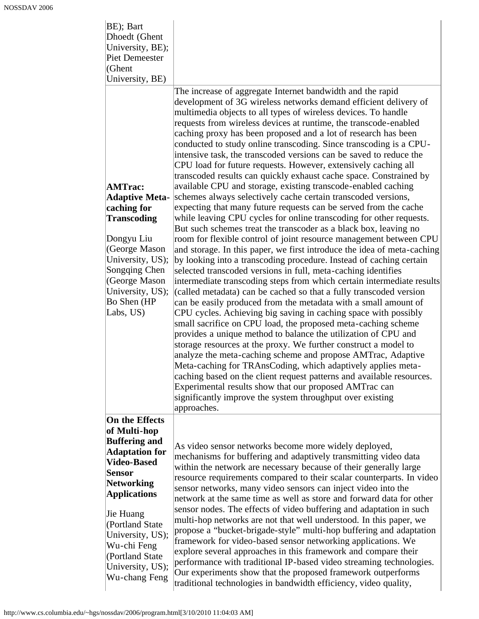| BE); Bart<br>Dhoedt (Ghent<br>University, BE);<br><b>Piet Demeester</b><br>(Ghent<br>University, BE)                                                                                                                                                                                    | The increase of aggregate Internet bandwidth and the rapid<br>development of 3G wireless networks demand efficient delivery of                                                                                                                                                                                                                                                                                                                                                                                                                                                                                                                                                                                                                                                                                                                                                                                                                                                                                                                                                                                                                                                                                                                                                                                                                                                                                                                                                                                                                                                                                                                                                                                                                                                                                                                                                                                                                                                |
|-----------------------------------------------------------------------------------------------------------------------------------------------------------------------------------------------------------------------------------------------------------------------------------------|-------------------------------------------------------------------------------------------------------------------------------------------------------------------------------------------------------------------------------------------------------------------------------------------------------------------------------------------------------------------------------------------------------------------------------------------------------------------------------------------------------------------------------------------------------------------------------------------------------------------------------------------------------------------------------------------------------------------------------------------------------------------------------------------------------------------------------------------------------------------------------------------------------------------------------------------------------------------------------------------------------------------------------------------------------------------------------------------------------------------------------------------------------------------------------------------------------------------------------------------------------------------------------------------------------------------------------------------------------------------------------------------------------------------------------------------------------------------------------------------------------------------------------------------------------------------------------------------------------------------------------------------------------------------------------------------------------------------------------------------------------------------------------------------------------------------------------------------------------------------------------------------------------------------------------------------------------------------------------|
| <b>AMTrac:</b><br><b>Adaptive Meta-</b><br>caching for<br><b>Transcoding</b><br>Dongyu Liu<br>(George Mason<br>University, US);<br>Songqing Chen<br>(George Mason<br>University, US);<br>Bo Shen (HP<br>Labs, US)                                                                       | multimedia objects to all types of wireless devices. To handle<br>requests from wireless devices at runtime, the transcode-enabled<br>caching proxy has been proposed and a lot of research has been<br>conducted to study online transcoding. Since transcoding is a CPU-<br>intensive task, the transcoded versions can be saved to reduce the<br>CPU load for future requests. However, extensively caching all<br>transcoded results can quickly exhaust cache space. Constrained by<br>available CPU and storage, existing transcode-enabled caching<br>schemes always selectively cache certain transcoded versions,<br>expecting that many future requests can be served from the cache<br>while leaving CPU cycles for online transcoding for other requests.<br>But such schemes treat the transcoder as a black box, leaving no<br>room for flexible control of joint resource management between CPU<br>and storage. In this paper, we first introduce the idea of meta-caching<br>by looking into a transcoding procedure. Instead of caching certain<br>selected transcoded versions in full, meta-caching identifies<br>intermediate transcoding steps from which certain intermediate results<br>(called metadata) can be cached so that a fully transcoded version<br>can be easily produced from the metadata with a small amount of<br>CPU cycles. Achieving big saving in caching space with possibly<br>small sacrifice on CPU load, the proposed meta-caching scheme<br>provides a unique method to balance the utilization of CPU and<br>storage resources at the proxy. We further construct a model to<br>analyze the meta-caching scheme and propose AMTrac, Adaptive<br>Meta-caching for TRAnsCoding, which adaptively applies meta-<br>caching based on the client request patterns and available resources.<br>Experimental results show that our proposed AMTrac can<br>significantly improve the system throughput over existing<br>approaches. |
| On the Effects<br>of Multi-hop<br><b>Buffering and</b><br><b>Adaptation for</b><br><b>Video-Based</b><br><b>Sensor</b><br>Networking<br><b>Applications</b><br>Jie Huang<br>(Portland State)<br>University, US);<br>Wu-chi Feng<br>(Portland State<br>University, US);<br>Wu-chang Feng | As video sensor networks become more widely deployed,<br>mechanisms for buffering and adaptively transmitting video data<br>within the network are necessary because of their generally large<br>resource requirements compared to their scalar counterparts. In video<br>sensor networks, many video sensors can inject video into the<br>network at the same time as well as store and forward data for other<br>sensor nodes. The effects of video buffering and adaptation in such<br>multi-hop networks are not that well understood. In this paper, we<br>propose a "bucket-brigade-style" multi-hop buffering and adaptation<br>framework for video-based sensor networking applications. We<br>explore several approaches in this framework and compare their<br>performance with traditional IP-based video streaming technologies.<br>Our experiments show that the proposed framework outperforms<br>traditional technologies in bandwidth efficiency, video quality,                                                                                                                                                                                                                                                                                                                                                                                                                                                                                                                                                                                                                                                                                                                                                                                                                                                                                                                                                                                              |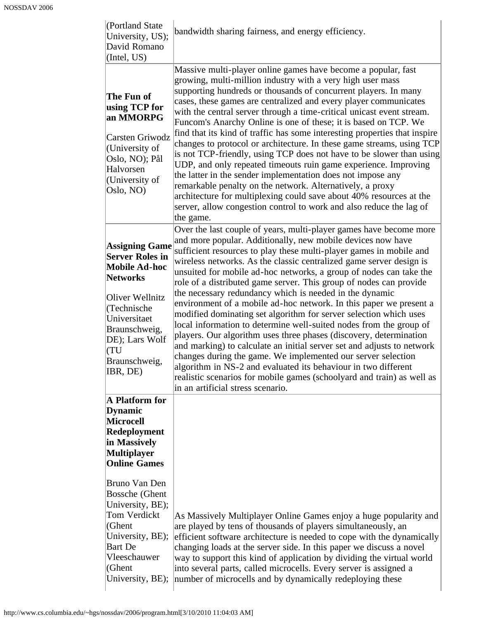| (Portland State)<br>University, US);<br>David Romano<br>(Intel, US)                                                                                                                                                 | bandwidth sharing fairness, and energy efficiency.                                                                                                                                                                                                                                                                                                                                                                                                                                                                                                                                                                                                                                                                                                                                                                                                                                                                                                                                                                                                                                                       |
|---------------------------------------------------------------------------------------------------------------------------------------------------------------------------------------------------------------------|----------------------------------------------------------------------------------------------------------------------------------------------------------------------------------------------------------------------------------------------------------------------------------------------------------------------------------------------------------------------------------------------------------------------------------------------------------------------------------------------------------------------------------------------------------------------------------------------------------------------------------------------------------------------------------------------------------------------------------------------------------------------------------------------------------------------------------------------------------------------------------------------------------------------------------------------------------------------------------------------------------------------------------------------------------------------------------------------------------|
| The Fun of<br>using TCP for<br>an MMORPG<br>Carsten Griwodz<br>(University of<br>Oslo, NO); Pål<br>Halvorsen<br>(University of<br>Oslo, NO)                                                                         | Massive multi-player online games have become a popular, fast<br>growing, multi-million industry with a very high user mass<br>supporting hundreds or thousands of concurrent players. In many<br>cases, these games are centralized and every player communicates<br>with the central server through a time-critical unicast event stream.<br>Funcom's Anarchy Online is one of these; it is based on TCP. We<br>find that its kind of traffic has some interesting properties that inspire<br>changes to protocol or architecture. In these game streams, using TCP<br>is not TCP-friendly, using TCP does not have to be slower than using<br>UDP, and only repeated timeouts ruin game experience. Improving<br>the latter in the sender implementation does not impose any<br>remarkable penalty on the network. Alternatively, a proxy<br>architecture for multiplexing could save about 40% resources at the<br>server, allow congestion control to work and also reduce the lag of<br>the game.                                                                                                  |
| <b>Assigning Game</b><br><b>Server Roles in</b><br><b>Mobile Ad-hoc</b><br><b>Networks</b><br>Oliver Wellnitz<br>(Technische<br>Universitaet<br>Braunschweig,<br>DE); Lars Wolf<br>(TU<br>Braunschweig,<br>IBR, DE) | Over the last couple of years, multi-player games have become more<br>and more popular. Additionally, new mobile devices now have<br>sufficient resources to play these multi-player games in mobile and<br>wireless networks. As the classic centralized game server design is<br>unsuited for mobile ad-hoc networks, a group of nodes can take the<br>role of a distributed game server. This group of nodes can provide<br>the necessary redundancy which is needed in the dynamic<br>environment of a mobile ad-hoc network. In this paper we present a<br>modified dominating set algorithm for server selection which uses<br>local information to determine well-suited nodes from the group of<br>players. Our algorithm uses three phases (discovery, determination<br>and marking) to calculate an initial server set and adjusts to network<br>changes during the game. We implemented our server selection<br>algorithm in NS-2 and evaluated its behaviour in two different<br>realistic scenarios for mobile games (schoolyard and train) as well as<br>in an artificial stress scenario. |
| A Platform for<br><b>Dynamic</b><br><b>Microcell</b><br>Redeployment<br>in Massively<br><b>Multiplayer</b><br><b>Online Games</b>                                                                                   |                                                                                                                                                                                                                                                                                                                                                                                                                                                                                                                                                                                                                                                                                                                                                                                                                                                                                                                                                                                                                                                                                                          |
| Bruno Van Den<br><b>Bossche</b> (Ghent<br>University, BE);<br>Tom Verdickt<br>(Ghent<br>University, BE);<br><b>Bart</b> De<br>Vleeschauwer<br>(Ghent<br>University, BE);                                            | As Massively Multiplayer Online Games enjoy a huge popularity and<br>are played by tens of thousands of players simultaneously, an<br>efficient software architecture is needed to cope with the dynamically<br>changing loads at the server side. In this paper we discuss a novel<br>way to support this kind of application by dividing the virtual world<br>into several parts, called microcells. Every server is assigned a<br>number of microcells and by dynamically redeploying these                                                                                                                                                                                                                                                                                                                                                                                                                                                                                                                                                                                                           |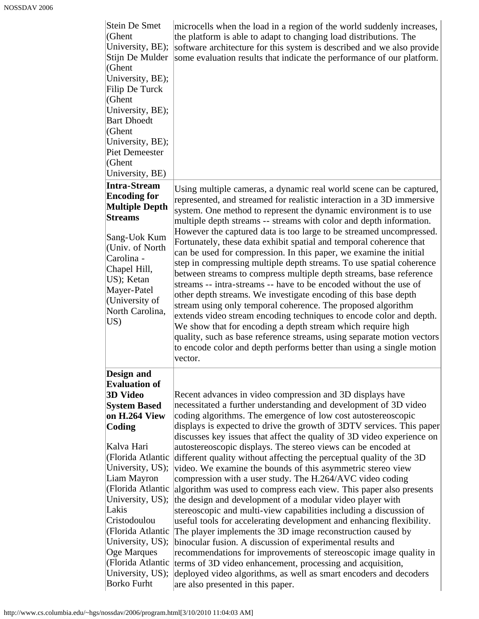| <b>Stein De Smet</b><br>(Ghent<br>University, BE);<br>Stijn De Mulder<br>(Ghent<br>University, BE);<br>Filip De Turck<br>(Ghent<br>University, BE);<br><b>Bart Dhoedt</b><br>(Ghent<br>University, BE);<br><b>Piet Demeester</b><br>(Ghent<br>University, BE)                                                                                                          | microcells when the load in a region of the world suddenly increases,<br>the platform is able to adapt to changing load distributions. The<br>software architecture for this system is described and we also provide<br>some evaluation results that indicate the performance of our platform.                                                                                                                                                                                                                                                                                                                                                                                                                                                                                                                                                                                                                                                                                                                                                                                                                                                                                                                                                                                    |
|------------------------------------------------------------------------------------------------------------------------------------------------------------------------------------------------------------------------------------------------------------------------------------------------------------------------------------------------------------------------|-----------------------------------------------------------------------------------------------------------------------------------------------------------------------------------------------------------------------------------------------------------------------------------------------------------------------------------------------------------------------------------------------------------------------------------------------------------------------------------------------------------------------------------------------------------------------------------------------------------------------------------------------------------------------------------------------------------------------------------------------------------------------------------------------------------------------------------------------------------------------------------------------------------------------------------------------------------------------------------------------------------------------------------------------------------------------------------------------------------------------------------------------------------------------------------------------------------------------------------------------------------------------------------|
| <b>Intra-Stream</b><br><b>Encoding for</b><br><b>Multiple Depth</b><br><b>Streams</b><br>Sang-Uok Kum<br>(Univ. of North<br>Carolina -<br>Chapel Hill,<br>US); Ketan<br>Mayer-Patel<br>(University of<br>North Carolina,<br>US)                                                                                                                                        | Using multiple cameras, a dynamic real world scene can be captured,<br>represented, and streamed for realistic interaction in a 3D immersive<br>system. One method to represent the dynamic environment is to use<br>multiple depth streams -- streams with color and depth information.<br>However the captured data is too large to be streamed uncompressed.<br>Fortunately, these data exhibit spatial and temporal coherence that<br>can be used for compression. In this paper, we examine the initial<br>step in compressing multiple depth streams. To use spatial coherence<br>between streams to compress multiple depth streams, base reference<br>streams -- intra-streams -- have to be encoded without the use of<br>other depth streams. We investigate encoding of this base depth<br>stream using only temporal coherence. The proposed algorithm<br>extends video stream encoding techniques to encode color and depth.<br>We show that for encoding a depth stream which require high<br>quality, such as base reference streams, using separate motion vectors<br>to encode color and depth performs better than using a single motion<br>vector.                                                                                                             |
| Design and<br><b>Evaluation of</b><br><b>3D Video</b><br><b>System Based</b><br>on H.264 View<br>Coding<br>Kalva Hari<br>(Florida Atlantic<br>University, US);<br>Liam Mayron<br>(Florida Atlantic<br>University, US);<br>Lakis<br>Cristodoulou<br>(Florida Atlantic<br>University, US);<br>Oge Marques<br>(Florida Atlantic<br>University, US);<br><b>Borko Furht</b> | Recent advances in video compression and 3D displays have<br>necessitated a further understanding and development of 3D video<br>coding algorithms. The emergence of low cost autostereoscopic<br>displays is expected to drive the growth of 3DTV services. This paper<br>discusses key issues that affect the quality of 3D video experience on<br>autostereoscopic displays. The stereo views can be encoded at<br>different quality without affecting the perceptual quality of the 3D<br>video. We examine the bounds of this asymmetric stereo view<br>compression with a user study. The H.264/AVC video coding<br>algorithm was used to compress each view. This paper also presents<br>the design and development of a modular video player with<br>stereoscopic and multi-view capabilities including a discussion of<br>useful tools for accelerating development and enhancing flexibility.<br>The player implements the 3D image reconstruction caused by<br>binocular fusion. A discussion of experimental results and<br>recommendations for improvements of stereoscopic image quality in<br>terms of 3D video enhancement, processing and acquisition,<br>deployed video algorithms, as well as smart encoders and decoders<br>are also presented in this paper. |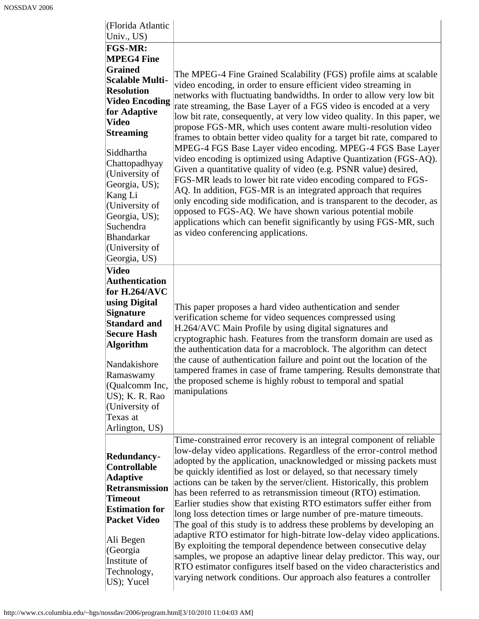| (Florida Atlantic<br>Univ., US)                                                                                                                                                                                                                                                                                                                                |                                                                                                                                                                                                                                                                                                                                                                                                                                                                                                                                                                                                                                                                                                                                                                                                                                                                                                                                                                                                                                                                                                                 |
|----------------------------------------------------------------------------------------------------------------------------------------------------------------------------------------------------------------------------------------------------------------------------------------------------------------------------------------------------------------|-----------------------------------------------------------------------------------------------------------------------------------------------------------------------------------------------------------------------------------------------------------------------------------------------------------------------------------------------------------------------------------------------------------------------------------------------------------------------------------------------------------------------------------------------------------------------------------------------------------------------------------------------------------------------------------------------------------------------------------------------------------------------------------------------------------------------------------------------------------------------------------------------------------------------------------------------------------------------------------------------------------------------------------------------------------------------------------------------------------------|
| FGS-MR:<br><b>MPEG4 Fine</b><br><b>Grained</b><br><b>Scalable Multi-</b><br><b>Resolution</b><br><b>Video Encoding</b><br>for Adaptive<br><b>Video</b><br><b>Streaming</b><br>Siddhartha<br>Chattopadhyay<br>(University of<br>Georgia, US);<br>Kang Li<br>(University of<br>Georgia, US);<br>Suchendra<br><b>Bhandarkar</b><br>(University of<br>Georgia, US) | The MPEG-4 Fine Grained Scalability (FGS) profile aims at scalable<br>video encoding, in order to ensure efficient video streaming in<br>networks with fluctuating bandwidths. In order to allow very low bit<br>rate streaming, the Base Layer of a FGS video is encoded at a very<br>low bit rate, consequently, at very low video quality. In this paper, we<br>propose FGS-MR, which uses content aware multi-resolution video<br>frames to obtain better video quality for a target bit rate, compared to<br>MPEG-4 FGS Base Layer video encoding. MPEG-4 FGS Base Layer<br>video encoding is optimized using Adaptive Quantization (FGS-AQ).<br>Given a quantitative quality of video (e.g. PSNR value) desired,<br>FGS-MR leads to lower bit rate video encoding compared to FGS-<br>AQ. In addition, FGS-MR is an integrated approach that requires<br>only encoding side modification, and is transparent to the decoder, as<br>opposed to FGS-AQ. We have shown various potential mobile<br>applications which can benefit significantly by using FGS-MR, such<br>as video conferencing applications. |
| <b>Video</b><br><b>Authentication</b><br>for $H.264/AVC$<br>using Digital<br><b>Signature</b><br><b>Standard and</b><br><b>Secure Hash</b><br><b>Algorithm</b><br>Nandakishore<br>Ramaswamy<br>(Qualcomm Inc,<br>US); K. R. Rao<br>(University of<br>Texas at<br>Arlington, US)                                                                                | This paper proposes a hard video authentication and sender<br>verification scheme for video sequences compressed using<br>H.264/AVC Main Profile by using digital signatures and<br>cryptographic hash. Features from the transform domain are used as<br>the authentication data for a macroblock. The algorithm can detect<br>the cause of authentication failure and point out the location of the<br>tampered frames in case of frame tampering. Results demonstrate that<br>the proposed scheme is highly robust to temporal and spatial<br>manipulations                                                                                                                                                                                                                                                                                                                                                                                                                                                                                                                                                  |
| Redundancy-<br><b>Controllable</b><br><b>Adaptive</b><br><b>Retransmission</b><br><b>Timeout</b><br><b>Estimation for</b><br><b>Packet Video</b><br>Ali Begen<br>(Georgia<br>Institute of<br>Technology,<br>US); Yucel                                                                                                                                         | Time-constrained error recovery is an integral component of reliable<br>low-delay video applications. Regardless of the error-control method<br>adopted by the application, unacknowledged or missing packets must<br>be quickly identified as lost or delayed, so that necessary timely<br>actions can be taken by the server/client. Historically, this problem<br>has been referred to as retransmission timeout (RTO) estimation.<br>Earlier studies show that existing RTO estimators suffer either from<br>long loss detection times or large number of pre-mature timeouts.<br>The goal of this study is to address these problems by developing an<br>adaptive RTO estimator for high-bitrate low-delay video applications.<br>By exploiting the temporal dependence between consecutive delay<br>samples, we propose an adaptive linear delay predictor. This way, our<br>RTO estimator configures itself based on the video characteristics and<br>varying network conditions. Our approach also features a controller                                                                                |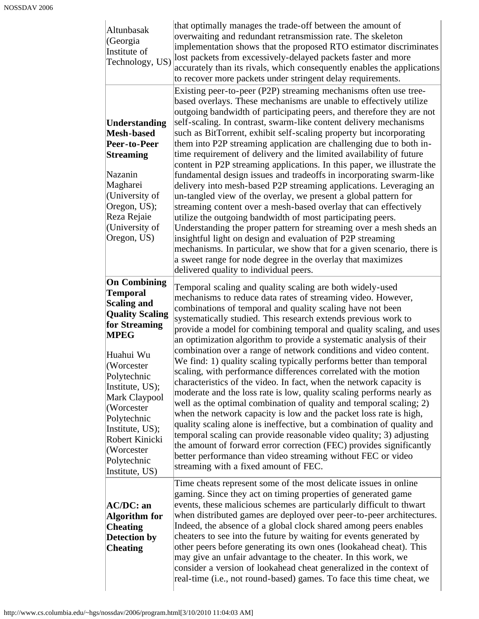| Altunbasak<br>(Georgia<br>Institute of<br>Technology, US)                                                                                                                                                                                                                                                             | that optimally manages the trade-off between the amount of<br>overwaiting and redundant retransmission rate. The skeleton<br>implementation shows that the proposed RTO estimator discriminates<br>lost packets from excessively-delayed packets faster and more<br>accurately than its rivals, which consequently enables the applications<br>to recover more packets under stringent delay requirements.                                                                                                                                                                                                                                                                                                                                                                                                                                                                                                                                                                                                                                                                                                                                                                                                                                                      |
|-----------------------------------------------------------------------------------------------------------------------------------------------------------------------------------------------------------------------------------------------------------------------------------------------------------------------|-----------------------------------------------------------------------------------------------------------------------------------------------------------------------------------------------------------------------------------------------------------------------------------------------------------------------------------------------------------------------------------------------------------------------------------------------------------------------------------------------------------------------------------------------------------------------------------------------------------------------------------------------------------------------------------------------------------------------------------------------------------------------------------------------------------------------------------------------------------------------------------------------------------------------------------------------------------------------------------------------------------------------------------------------------------------------------------------------------------------------------------------------------------------------------------------------------------------------------------------------------------------|
| <b>Understanding</b><br><b>Mesh-based</b><br>Peer-to-Peer<br><b>Streaming</b><br>Nazanin<br>Magharei<br>(University of<br>Oregon, US);<br>Reza Rejaie<br>(University of<br>Oregon, US)                                                                                                                                | Existing peer-to-peer (P2P) streaming mechanisms often use tree-<br>based overlays. These mechanisms are unable to effectively utilize<br>outgoing bandwidth of participating peers, and therefore they are not<br>self-scaling. In contrast, swarm-like content delivery mechanisms<br>such as BitTorrent, exhibit self-scaling property but incorporating<br>them into P2P streaming application are challenging due to both in-<br>time requirement of delivery and the limited availability of future<br>content in P2P streaming applications. In this paper, we illustrate the<br>fundamental design issues and tradeoffs in incorporating swarm-like<br>delivery into mesh-based P2P streaming applications. Leveraging an<br>un-tangled view of the overlay, we present a global pattern for<br>streaming content over a mesh-based overlay that can effectively<br>utilize the outgoing bandwidth of most participating peers.<br>Understanding the proper pattern for streaming over a mesh sheds an<br>insightful light on design and evaluation of P2P streaming<br>mechanisms. In particular, we show that for a given scenario, there is<br>a sweet range for node degree in the overlay that maximizes<br>delivered quality to individual peers. |
| <b>On Combining</b><br><b>Temporal</b><br><b>Scaling and</b><br><b>Quality Scaling</b><br>for Streaming<br><b>MPEG</b><br>Huahui Wu<br>(Worcester<br>Polytechnic<br>Institute, US);<br>Mark Claypool<br>(Worcester<br>Polytechnic<br>Institute, US);<br>Robert Kinicki<br>(Worcester<br>Polytechnic<br>Institute, US) | Temporal scaling and quality scaling are both widely-used<br>mechanisms to reduce data rates of streaming video. However,<br>combinations of temporal and quality scaling have not been<br>systematically studied. This research extends previous work to<br>provide a model for combining temporal and quality scaling, and uses<br>an optimization algorithm to provide a systematic analysis of their<br>combination over a range of network conditions and video content.<br>We find: 1) quality scaling typically performs better than temporal<br>scaling, with performance differences correlated with the motion<br>characteristics of the video. In fact, when the network capacity is<br>moderate and the loss rate is low, quality scaling performs nearly as<br>well as the optimal combination of quality and temporal scaling; 2)<br>when the network capacity is low and the packet loss rate is high,<br>quality scaling alone is ineffective, but a combination of quality and<br>temporal scaling can provide reasonable video quality; 3) adjusting<br>the amount of forward error correction (FEC) provides significantly<br>better performance than video streaming without FEC or video<br>streaming with a fixed amount of FEC.          |
| AC/DC: an<br><b>Algorithm</b> for<br><b>Cheating</b><br><b>Detection by</b><br><b>Cheating</b>                                                                                                                                                                                                                        | Time cheats represent some of the most delicate issues in online<br>gaming. Since they act on timing properties of generated game<br>events, these malicious schemes are particularly difficult to thwart<br>when distributed games are deployed over peer-to-peer architectures.<br>Indeed, the absence of a global clock shared among peers enables<br>cheaters to see into the future by waiting for events generated by<br>other peers before generating its own ones (lookahead cheat). This<br>may give an unfair advantage to the cheater. In this work, we<br>consider a version of lookahead cheat generalized in the context of<br>real-time (i.e., not round-based) games. To face this time cheat, we                                                                                                                                                                                                                                                                                                                                                                                                                                                                                                                                               |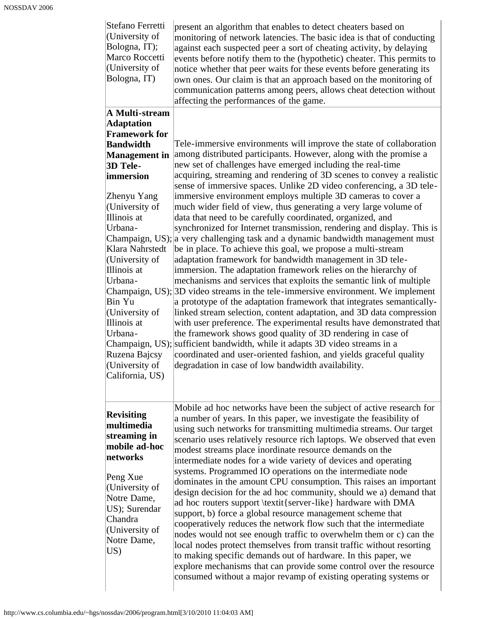| Stefano Ferretti<br>(University of<br>Bologna, IT);<br>Marco Roccetti<br>(University of<br>Bologna, IT)                                                                                                                            | present an algorithm that enables to detect cheaters based on<br>monitoring of network latencies. The basic idea is that of conducting<br>against each suspected peer a sort of cheating activity, by delaying<br>events before notify them to the (hypothetic) cheater. This permits to<br>notice whether that peer waits for these events before generating its<br>own ones. Our claim is that an approach based on the monitoring of<br>communication patterns among peers, allows cheat detection without<br>affecting the performances of the game.                                                                                                                                                                                                                                                                                                                                                                                                                                                                                                                                                                                                                                                  |
|------------------------------------------------------------------------------------------------------------------------------------------------------------------------------------------------------------------------------------|-----------------------------------------------------------------------------------------------------------------------------------------------------------------------------------------------------------------------------------------------------------------------------------------------------------------------------------------------------------------------------------------------------------------------------------------------------------------------------------------------------------------------------------------------------------------------------------------------------------------------------------------------------------------------------------------------------------------------------------------------------------------------------------------------------------------------------------------------------------------------------------------------------------------------------------------------------------------------------------------------------------------------------------------------------------------------------------------------------------------------------------------------------------------------------------------------------------|
| A Multi-stream<br><b>Adaptation</b>                                                                                                                                                                                                |                                                                                                                                                                                                                                                                                                                                                                                                                                                                                                                                                                                                                                                                                                                                                                                                                                                                                                                                                                                                                                                                                                                                                                                                           |
| <b>Framework for</b>                                                                                                                                                                                                               |                                                                                                                                                                                                                                                                                                                                                                                                                                                                                                                                                                                                                                                                                                                                                                                                                                                                                                                                                                                                                                                                                                                                                                                                           |
| <b>Bandwidth</b>                                                                                                                                                                                                                   | Tele-immersive environments will improve the state of collaboration                                                                                                                                                                                                                                                                                                                                                                                                                                                                                                                                                                                                                                                                                                                                                                                                                                                                                                                                                                                                                                                                                                                                       |
| <b>Management</b> in                                                                                                                                                                                                               | among distributed participants. However, along with the promise a                                                                                                                                                                                                                                                                                                                                                                                                                                                                                                                                                                                                                                                                                                                                                                                                                                                                                                                                                                                                                                                                                                                                         |
| 3D Tele-                                                                                                                                                                                                                           | new set of challenges have emerged including the real-time                                                                                                                                                                                                                                                                                                                                                                                                                                                                                                                                                                                                                                                                                                                                                                                                                                                                                                                                                                                                                                                                                                                                                |
| immersion                                                                                                                                                                                                                          | acquiring, streaming and rendering of 3D scenes to convey a realistic<br>sense of immersive spaces. Unlike 2D video conferencing, a 3D tele-                                                                                                                                                                                                                                                                                                                                                                                                                                                                                                                                                                                                                                                                                                                                                                                                                                                                                                                                                                                                                                                              |
| Zhenyu Yang<br>(University of<br>Illinois at<br>Urbana-<br>Klara Nahrstedt<br>(University of<br>Illinois at<br>Urbana-<br>Bin Yu<br>(University of<br>Illinois at<br>Urbana-<br>Champaign, US);<br>Ruzena Bajcsy<br>(University of | immersive environment employs multiple 3D cameras to cover a<br>much wider field of view, thus generating a very large volume of<br>data that need to be carefully coordinated, organized, and<br>synchronized for Internet transmission, rendering and display. This is<br>Champaign, US); a very challenging task and a dynamic bandwidth management must<br>be in place. To achieve this goal, we propose a multi-stream<br>adaptation framework for bandwidth management in 3D tele-<br>immersion. The adaptation framework relies on the hierarchy of<br>mechanisms and services that exploits the semantic link of multiple<br>Champaign, US); 3D video streams in the tele-immersive environment. We implement<br>a prototype of the adaptation framework that integrates semantically-<br>linked stream selection, content adaptation, and 3D data compression<br>with user preference. The experimental results have demonstrated that<br>the framework shows good quality of 3D rendering in case of<br>sufficient bandwidth, while it adapts 3D video streams in a<br>coordinated and user-oriented fashion, and yields graceful quality<br>degradation in case of low bandwidth availability. |
| California, US)<br><b>Revisiting</b><br>multimedia<br>streaming in<br>mobile ad-hoc<br>networks<br>Peng Xue<br>(University of<br>Notre Dame,<br>US); Surendar<br>Chandra<br>(University of<br>Notre Dame,<br>US)                   | Mobile ad hoc networks have been the subject of active research for<br>a number of years. In this paper, we investigate the feasibility of<br>using such networks for transmitting multimedia streams. Our target<br>scenario uses relatively resource rich laptops. We observed that even<br>modest streams place inordinate resource demands on the<br>intermediate nodes for a wide variety of devices and operating<br>systems. Programmed IO operations on the intermediate node<br>dominates in the amount CPU consumption. This raises an important<br>design decision for the ad hoc community, should we a) demand that<br>ad hoc routers support \textit{server-like} hardware with DMA<br>support, b) force a global resource management scheme that<br>cooperatively reduces the network flow such that the intermediate<br>nodes would not see enough traffic to overwhelm them or c) can the<br>local nodes protect themselves from transit traffic without resorting<br>to making specific demands out of hardware. In this paper, we<br>explore mechanisms that can provide some control over the resource<br>consumed without a major revamp of existing operating systems or            |